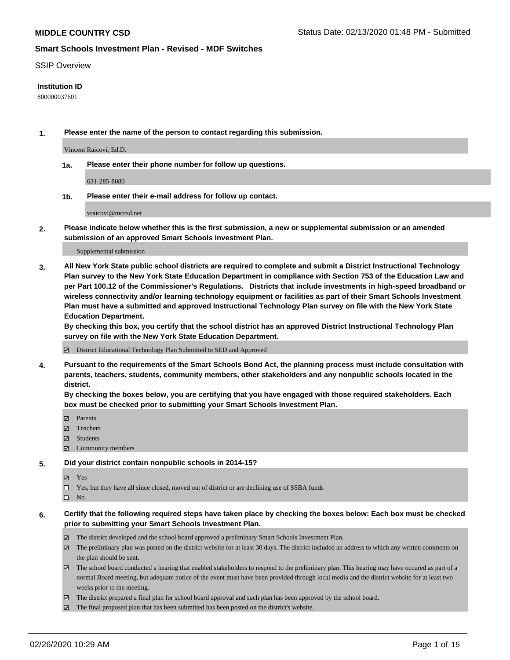#### SSIP Overview

#### **Institution ID**

800000037601

**1. Please enter the name of the person to contact regarding this submission.**

Vincent Raicovi, Ed.D.

**1a. Please enter their phone number for follow up questions.**

631-285-8080

**1b. Please enter their e-mail address for follow up contact.**

vraicovi@mccsd.net

**2. Please indicate below whether this is the first submission, a new or supplemental submission or an amended submission of an approved Smart Schools Investment Plan.**

#### Supplemental submission

**3. All New York State public school districts are required to complete and submit a District Instructional Technology Plan survey to the New York State Education Department in compliance with Section 753 of the Education Law and per Part 100.12 of the Commissioner's Regulations. Districts that include investments in high-speed broadband or wireless connectivity and/or learning technology equipment or facilities as part of their Smart Schools Investment Plan must have a submitted and approved Instructional Technology Plan survey on file with the New York State Education Department.** 

**By checking this box, you certify that the school district has an approved District Instructional Technology Plan survey on file with the New York State Education Department.**

District Educational Technology Plan Submitted to SED and Approved

**4. Pursuant to the requirements of the Smart Schools Bond Act, the planning process must include consultation with parents, teachers, students, community members, other stakeholders and any nonpublic schools located in the district.** 

**By checking the boxes below, you are certifying that you have engaged with those required stakeholders. Each box must be checked prior to submitting your Smart Schools Investment Plan.**

- **マ** Parents
- Teachers
- Students
- Community members

#### **5. Did your district contain nonpublic schools in 2014-15?**

**冈** Yes

Yes, but they have all since closed, moved out of district or are declining use of SSBA funds

 $\square$  No

- **6. Certify that the following required steps have taken place by checking the boxes below: Each box must be checked prior to submitting your Smart Schools Investment Plan.**
	- The district developed and the school board approved a preliminary Smart Schools Investment Plan.
	- $\boxtimes$  The preliminary plan was posted on the district website for at least 30 days. The district included an address to which any written comments on the plan should be sent.
	- $\boxtimes$  The school board conducted a hearing that enabled stakeholders to respond to the preliminary plan. This hearing may have occured as part of a normal Board meeting, but adequate notice of the event must have been provided through local media and the district website for at least two weeks prior to the meeting.
	- The district prepared a final plan for school board approval and such plan has been approved by the school board.
	- $\boxtimes$  The final proposed plan that has been submitted has been posted on the district's website.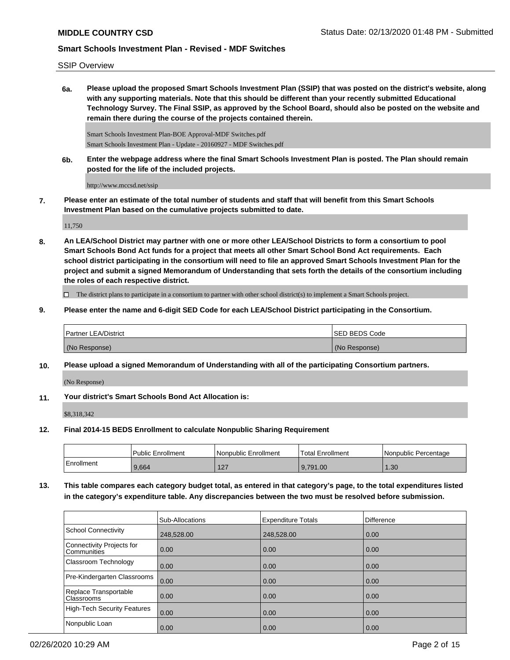SSIP Overview

**6a. Please upload the proposed Smart Schools Investment Plan (SSIP) that was posted on the district's website, along with any supporting materials. Note that this should be different than your recently submitted Educational Technology Survey. The Final SSIP, as approved by the School Board, should also be posted on the website and remain there during the course of the projects contained therein.**

Smart Schools Investment Plan-BOE Approval-MDF Switches.pdf Smart Schools Investment Plan - Update - 20160927 - MDF Switches.pdf

**6b. Enter the webpage address where the final Smart Schools Investment Plan is posted. The Plan should remain posted for the life of the included projects.**

http://www.mccsd.net/ssip

**7. Please enter an estimate of the total number of students and staff that will benefit from this Smart Schools Investment Plan based on the cumulative projects submitted to date.**

11,750

**8. An LEA/School District may partner with one or more other LEA/School Districts to form a consortium to pool Smart Schools Bond Act funds for a project that meets all other Smart School Bond Act requirements. Each school district participating in the consortium will need to file an approved Smart Schools Investment Plan for the project and submit a signed Memorandum of Understanding that sets forth the details of the consortium including the roles of each respective district.**

 $\Box$  The district plans to participate in a consortium to partner with other school district(s) to implement a Smart Schools project.

**9. Please enter the name and 6-digit SED Code for each LEA/School District participating in the Consortium.**

| <b>Partner LEA/District</b> | <b>ISED BEDS Code</b> |
|-----------------------------|-----------------------|
| (No Response)               | (No Response)         |

**10. Please upload a signed Memorandum of Understanding with all of the participating Consortium partners.**

(No Response)

**11. Your district's Smart Schools Bond Act Allocation is:**

\$8,318,342

**12. Final 2014-15 BEDS Enrollment to calculate Nonpublic Sharing Requirement**

|            | <b>Public Enrollment</b> | l Nonpublic Enrollment | <b>Total Enrollment</b> | l Nonpublic Percentage |
|------------|--------------------------|------------------------|-------------------------|------------------------|
| Enrollment | 9,664                    | 127<br>141             | 9.791.00                | .30                    |

**13. This table compares each category budget total, as entered in that category's page, to the total expenditures listed in the category's expenditure table. Any discrepancies between the two must be resolved before submission.**

|                                                 | Sub-Allocations | <b>Expenditure Totals</b> | Difference |
|-------------------------------------------------|-----------------|---------------------------|------------|
| School Connectivity                             | 248,528.00      | 248,528.00                | 0.00       |
| Connectivity Projects for<br><b>Communities</b> | 0.00            | 0.00                      | 0.00       |
| <b>Classroom Technology</b>                     | 0.00            | 0.00                      | 0.00       |
| Pre-Kindergarten Classrooms                     | 0.00            | 0.00                      | 0.00       |
| Replace Transportable<br>Classrooms             | 0.00            | 0.00                      | 0.00       |
| High-Tech Security Features                     | 0.00            | 0.00                      | 0.00       |
| Nonpublic Loan                                  | 0.00            | 0.00                      | 0.00       |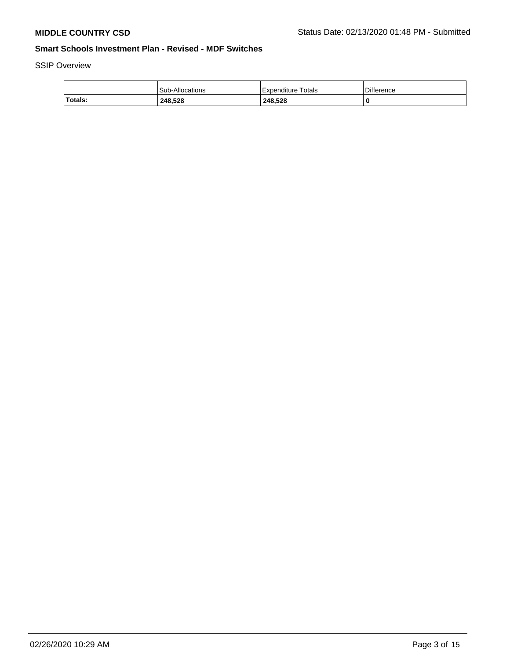# SSIP Overview

|         | <b>Sub-Allocations</b> | Totals<br>⊦Expenditure i | <b>Difference</b> |
|---------|------------------------|--------------------------|-------------------|
| Totals: | 248.528                | 248,528                  | L                 |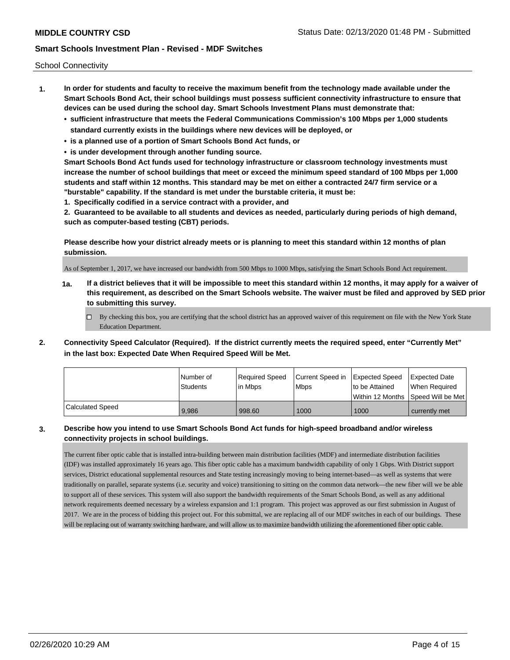School Connectivity

- **1. In order for students and faculty to receive the maximum benefit from the technology made available under the Smart Schools Bond Act, their school buildings must possess sufficient connectivity infrastructure to ensure that devices can be used during the school day. Smart Schools Investment Plans must demonstrate that:**
	- **• sufficient infrastructure that meets the Federal Communications Commission's 100 Mbps per 1,000 students standard currently exists in the buildings where new devices will be deployed, or**
	- **• is a planned use of a portion of Smart Schools Bond Act funds, or**
	- **• is under development through another funding source.**

**Smart Schools Bond Act funds used for technology infrastructure or classroom technology investments must increase the number of school buildings that meet or exceed the minimum speed standard of 100 Mbps per 1,000 students and staff within 12 months. This standard may be met on either a contracted 24/7 firm service or a "burstable" capability. If the standard is met under the burstable criteria, it must be:**

**1. Specifically codified in a service contract with a provider, and**

**2. Guaranteed to be available to all students and devices as needed, particularly during periods of high demand, such as computer-based testing (CBT) periods.**

**Please describe how your district already meets or is planning to meet this standard within 12 months of plan submission.**

As of September 1, 2017, we have increased our bandwidth from 500 Mbps to 1000 Mbps, satisfying the Smart Schools Bond Act requirement.

**1a. If a district believes that it will be impossible to meet this standard within 12 months, it may apply for a waiver of this requirement, as described on the Smart Schools website. The waiver must be filed and approved by SED prior to submitting this survey.**

 $\Box$  By checking this box, you are certifying that the school district has an approved waiver of this requirement on file with the New York State Education Department.

**2. Connectivity Speed Calculator (Required). If the district currently meets the required speed, enter "Currently Met" in the last box: Expected Date When Required Speed Will be Met.**

|                         | l Number of<br><b>Students</b> | Required Speed<br>lin Mbps | Current Speed in<br><b>Mbps</b> | Expected Speed<br>to be Attained | Expected Date<br>When Required     |
|-------------------------|--------------------------------|----------------------------|---------------------------------|----------------------------------|------------------------------------|
|                         |                                |                            |                                 |                                  | Within 12 Months Speed Will be Met |
| <b>Calculated Speed</b> | 9.986                          | 998.60                     | 1000                            | 1000                             | currently met                      |

### **3. Describe how you intend to use Smart Schools Bond Act funds for high-speed broadband and/or wireless connectivity projects in school buildings.**

The current fiber optic cable that is installed intra-building between main distribution facilities (MDF) and intermediate distribution facilities (IDF) was installed approximately 16 years ago. This fiber optic cable has a maximum bandwidth capability of only 1 Gbps. With District support services, District educational supplemental resources and State testing increasingly moving to being internet-based—as well as systems that were traditionally on parallel, separate systems (i.e. security and voice) transitioning to sitting on the common data network—the new fiber will we be able to support all of these services. This system will also support the bandwidth requirements of the Smart Schools Bond, as well as any additional network requirements deemed necessary by a wireless expansion and 1:1 program. This project was approved as our first submission in August of 2017. We are in the process of bidding this project out. For this submittal, we are replacing all of our MDF switches in each of our buildings. These will be replacing out of warranty switching hardware, and will allow us to maximize bandwidth utilizing the aforementioned fiber optic cable.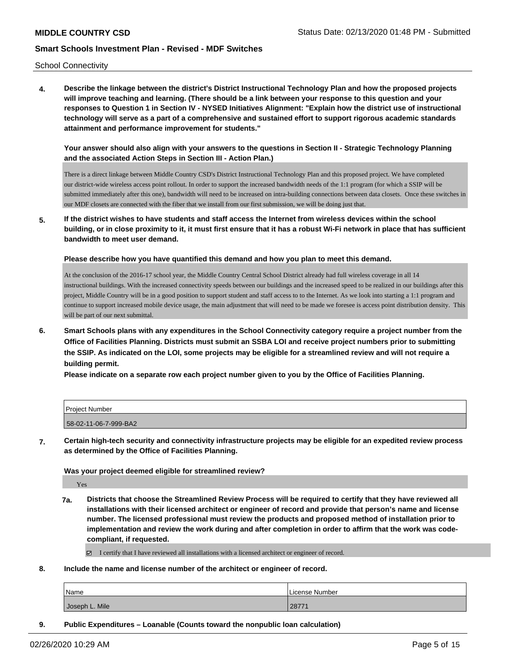School Connectivity

**4. Describe the linkage between the district's District Instructional Technology Plan and how the proposed projects will improve teaching and learning. (There should be a link between your response to this question and your responses to Question 1 in Section IV - NYSED Initiatives Alignment: "Explain how the district use of instructional technology will serve as a part of a comprehensive and sustained effort to support rigorous academic standards attainment and performance improvement for students."** 

**Your answer should also align with your answers to the questions in Section II - Strategic Technology Planning and the associated Action Steps in Section III - Action Plan.)**

There is a direct linkage between Middle Country CSD's District Instructional Technology Plan and this proposed project. We have completed our district-wide wireless access point rollout. In order to support the increased bandwidth needs of the 1:1 program (for which a SSIP will be submitted immediately after this one), bandwidth will need to be increased on intra-building connections between data closets. Once these switches in our MDF closets are connected with the fiber that we install from our first submission, we will be doing just that.

**5. If the district wishes to have students and staff access the Internet from wireless devices within the school building, or in close proximity to it, it must first ensure that it has a robust Wi-Fi network in place that has sufficient bandwidth to meet user demand.**

**Please describe how you have quantified this demand and how you plan to meet this demand.**

At the conclusion of the 2016-17 school year, the Middle Country Central School District already had full wireless coverage in all 14 instructional buildings. With the increased connectivity speeds between our buildings and the increased speed to be realized in our buildings after this project, Middle Country will be in a good position to support student and staff access to to the Internet. As we look into starting a 1:1 program and continue to support increased mobile device usage, the main adjustment that will need to be made we foresee is access point distribution density. This will be part of our next submittal.

**6. Smart Schools plans with any expenditures in the School Connectivity category require a project number from the Office of Facilities Planning. Districts must submit an SSBA LOI and receive project numbers prior to submitting the SSIP. As indicated on the LOI, some projects may be eligible for a streamlined review and will not require a building permit.**

**Please indicate on a separate row each project number given to you by the Office of Facilities Planning.**

| Project Number        |  |
|-----------------------|--|
| 58-02-11-06-7-999-BA2 |  |

**7. Certain high-tech security and connectivity infrastructure projects may be eligible for an expedited review process as determined by the Office of Facilities Planning.**

**Was your project deemed eligible for streamlined review?**

Yes

- **7a. Districts that choose the Streamlined Review Process will be required to certify that they have reviewed all installations with their licensed architect or engineer of record and provide that person's name and license number. The licensed professional must review the products and proposed method of installation prior to implementation and review the work during and after completion in order to affirm that the work was codecompliant, if requested.**
	- $\Box$  I certify that I have reviewed all installations with a licensed architect or engineer of record.
- **8. Include the name and license number of the architect or engineer of record.**

| Name           | License Number |
|----------------|----------------|
| Joseph L. Mile | 28771          |

**9. Public Expenditures – Loanable (Counts toward the nonpublic loan calculation)**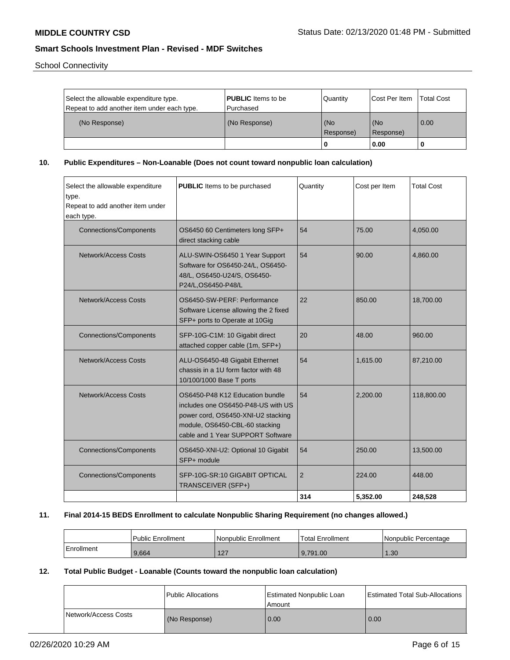School Connectivity

| Select the allowable expenditure type.<br>Repeat to add another item under each type. | <b>PUBLIC</b> Items to be<br>l Purchased | Quantity         | <b>ICost Per Item</b> | <b>Total Cost</b> |
|---------------------------------------------------------------------------------------|------------------------------------------|------------------|-----------------------|-------------------|
| (No Response)                                                                         | (No Response)                            | (No<br>Response) | l (No<br>Response)    | 0.00              |
|                                                                                       |                                          | 0                | 0.00                  |                   |

**10. Public Expenditures – Non-Loanable (Does not count toward nonpublic loan calculation)**

| Select the allowable expenditure<br>type.<br>Repeat to add another item under<br>each type. | PUBLIC Items to be purchased                                                                                                                                                       | Quantity | Cost per Item | <b>Total Cost</b> |
|---------------------------------------------------------------------------------------------|------------------------------------------------------------------------------------------------------------------------------------------------------------------------------------|----------|---------------|-------------------|
| <b>Connections/Components</b>                                                               | OS6450 60 Centimeters long SFP+<br>direct stacking cable                                                                                                                           | 54       | 75.00         | 4,050.00          |
| Network/Access Costs                                                                        | ALU-SWIN-OS6450 1 Year Support<br>Software for OS6450-24/L, OS6450-<br>48/L, OS6450-U24/S, OS6450-<br>P24/L,OS6450-P48/L                                                           | 54       | 90.00         | 4,860.00          |
| <b>Network/Access Costs</b>                                                                 | OS6450-SW-PERF: Performance<br>Software License allowing the 2 fixed<br>SFP+ ports to Operate at 10Gig                                                                             | 22       | 850.00        | 18,700.00         |
| <b>Connections/Components</b>                                                               | SFP-10G-C1M: 10 Gigabit direct<br>attached copper cable (1m, SFP+)                                                                                                                 | 20       | 48.00         | 960.00            |
| <b>Network/Access Costs</b>                                                                 | ALU-OS6450-48 Gigabit Ethernet<br>chassis in a 1U form factor with 48<br>10/100/1000 Base T ports                                                                                  | 54       | 1,615.00      | 87,210.00         |
| <b>Network/Access Costs</b>                                                                 | OS6450-P48 K12 Education bundle<br>includes one OS6450-P48-US with US<br>power cord, OS6450-XNI-U2 stacking<br>module, OS6450-CBL-60 stacking<br>cable and 1 Year SUPPORT Software | 54       | 2,200.00      | 118,800.00        |
| <b>Connections/Components</b>                                                               | OS6450-XNI-U2: Optional 10 Gigabit<br>SFP+ module                                                                                                                                  | 54       | 250.00        | 13,500.00         |
| <b>Connections/Components</b>                                                               | SFP-10G-SR:10 GIGABIT OPTICAL<br>TRANSCEIVER (SFP+)                                                                                                                                | 2        | 224.00        | 448.00            |
|                                                                                             |                                                                                                                                                                                    | 314      | 5.352.00      | 248,528           |

# **11. Final 2014-15 BEDS Enrollment to calculate Nonpublic Sharing Requirement (no changes allowed.)**

|            | Public Enrollment | Nonpublic Enrollment | <sup>1</sup> Total Enrollment | l Nonpublic Percentage |
|------------|-------------------|----------------------|-------------------------------|------------------------|
| Enrollment | 9.664             | 107<br>$\mathsf{L}$  | 9.791.00 ا                    | l.30                   |

# **12. Total Public Budget - Loanable (Counts toward the nonpublic loan calculation)**

|                      | Public Allocations | Estimated Nonpublic Loan<br>Amount | Estimated Total Sub-Allocations |
|----------------------|--------------------|------------------------------------|---------------------------------|
| Network/Access Costs | (No Response)      | 0.00                               | 0.00                            |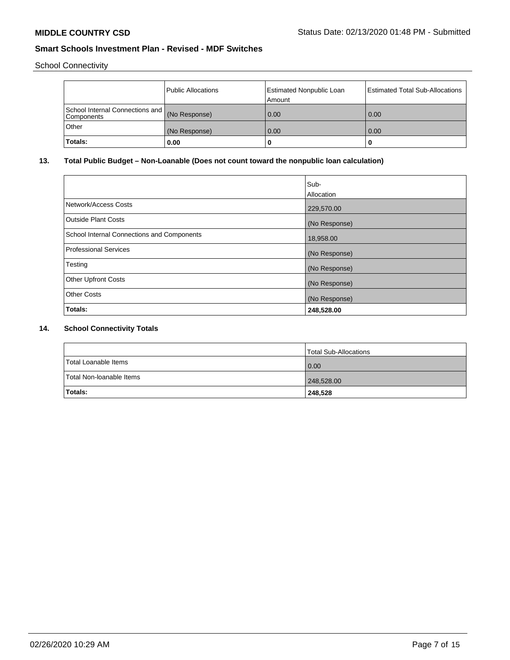School Connectivity

|                                                             | Public Allocations | Estimated Nonpublic Loan<br>Amount | Estimated Total Sub-Allocations |
|-------------------------------------------------------------|--------------------|------------------------------------|---------------------------------|
| School Internal Connections and (No Response)<br>Components |                    | 0.00                               | 0.00                            |
| Other                                                       | (No Response)      | 0.00                               | 0.00                            |
| 'Totals:                                                    | 0.00               | 0                                  |                                 |

# **13. Total Public Budget – Non-Loanable (Does not count toward the nonpublic loan calculation)**

|                                            | Sub-          |
|--------------------------------------------|---------------|
|                                            | Allocation    |
| Network/Access Costs                       | 229,570.00    |
| <b>Outside Plant Costs</b>                 | (No Response) |
| School Internal Connections and Components | 18,958.00     |
| <b>Professional Services</b>               | (No Response) |
| Testing                                    | (No Response) |
| <b>Other Upfront Costs</b>                 | (No Response) |
| <b>Other Costs</b>                         | (No Response) |
| Totals:                                    | 248,528.00    |

# **14. School Connectivity Totals**

|                          | Total Sub-Allocations |
|--------------------------|-----------------------|
| Total Loanable Items     | 0.00                  |
| Total Non-Ioanable Items | 248,528.00            |
| Totals:                  | 248,528               |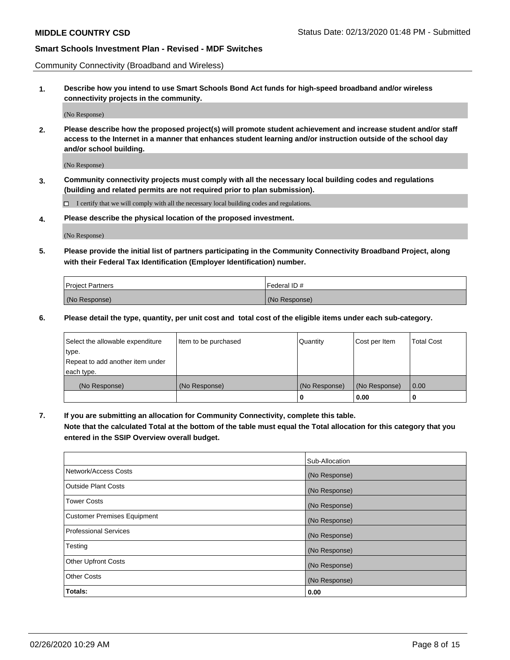Community Connectivity (Broadband and Wireless)

**1. Describe how you intend to use Smart Schools Bond Act funds for high-speed broadband and/or wireless connectivity projects in the community.**

(No Response)

**2. Please describe how the proposed project(s) will promote student achievement and increase student and/or staff access to the Internet in a manner that enhances student learning and/or instruction outside of the school day and/or school building.**

(No Response)

**3. Community connectivity projects must comply with all the necessary local building codes and regulations (building and related permits are not required prior to plan submission).**

 $\Box$  I certify that we will comply with all the necessary local building codes and regulations.

**4. Please describe the physical location of the proposed investment.**

(No Response)

**5. Please provide the initial list of partners participating in the Community Connectivity Broadband Project, along with their Federal Tax Identification (Employer Identification) number.**

| <b>Project Partners</b> | l Federal ID # |
|-------------------------|----------------|
| (No Response)           | (No Response)  |

**6. Please detail the type, quantity, per unit cost and total cost of the eligible items under each sub-category.**

| Select the allowable expenditure | Item to be purchased | Quantity      | Cost per Item | <b>Total Cost</b> |
|----------------------------------|----------------------|---------------|---------------|-------------------|
| type.                            |                      |               |               |                   |
| Repeat to add another item under |                      |               |               |                   |
| each type.                       |                      |               |               |                   |
| (No Response)                    | (No Response)        | (No Response) | (No Response) | 0.00              |
|                                  |                      | o             | 0.00          |                   |

**7. If you are submitting an allocation for Community Connectivity, complete this table.**

**Note that the calculated Total at the bottom of the table must equal the Total allocation for this category that you entered in the SSIP Overview overall budget.**

|                                    | Sub-Allocation |
|------------------------------------|----------------|
| Network/Access Costs               | (No Response)  |
| Outside Plant Costs                | (No Response)  |
| <b>Tower Costs</b>                 | (No Response)  |
| <b>Customer Premises Equipment</b> | (No Response)  |
| <b>Professional Services</b>       | (No Response)  |
| Testing                            | (No Response)  |
| <b>Other Upfront Costs</b>         | (No Response)  |
| <b>Other Costs</b>                 | (No Response)  |
| Totals:                            | 0.00           |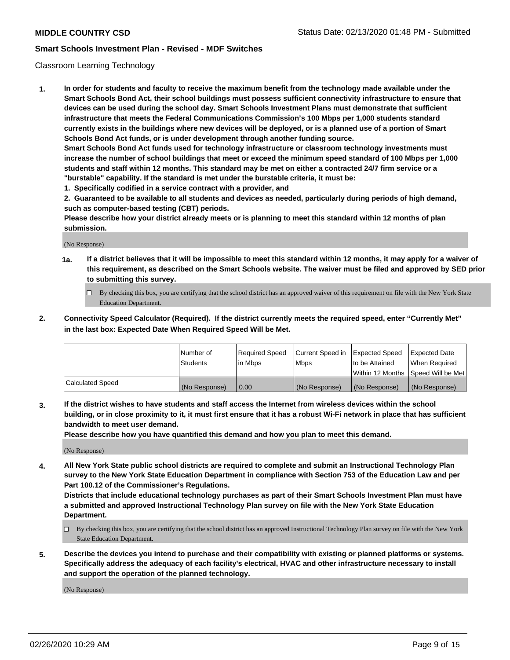#### Classroom Learning Technology

**1. In order for students and faculty to receive the maximum benefit from the technology made available under the Smart Schools Bond Act, their school buildings must possess sufficient connectivity infrastructure to ensure that devices can be used during the school day. Smart Schools Investment Plans must demonstrate that sufficient infrastructure that meets the Federal Communications Commission's 100 Mbps per 1,000 students standard currently exists in the buildings where new devices will be deployed, or is a planned use of a portion of Smart Schools Bond Act funds, or is under development through another funding source. Smart Schools Bond Act funds used for technology infrastructure or classroom technology investments must increase the number of school buildings that meet or exceed the minimum speed standard of 100 Mbps per 1,000 students and staff within 12 months. This standard may be met on either a contracted 24/7 firm service or a**

**"burstable" capability. If the standard is met under the burstable criteria, it must be:**

**1. Specifically codified in a service contract with a provider, and**

**2. Guaranteed to be available to all students and devices as needed, particularly during periods of high demand, such as computer-based testing (CBT) periods.**

**Please describe how your district already meets or is planning to meet this standard within 12 months of plan submission.**

(No Response)

- **1a. If a district believes that it will be impossible to meet this standard within 12 months, it may apply for a waiver of this requirement, as described on the Smart Schools website. The waiver must be filed and approved by SED prior to submitting this survey.**
	- By checking this box, you are certifying that the school district has an approved waiver of this requirement on file with the New York State Education Department.
- **2. Connectivity Speed Calculator (Required). If the district currently meets the required speed, enter "Currently Met" in the last box: Expected Date When Required Speed Will be Met.**

|                  | l Number of     | Required Speed | Current Speed in | <b>Expected Speed</b> | <b>Expected Date</b>                |
|------------------|-----------------|----------------|------------------|-----------------------|-------------------------------------|
|                  | <b>Students</b> | l in Mbps      | l Mbps           | to be Attained        | When Required                       |
|                  |                 |                |                  |                       | Within 12 Months  Speed Will be Met |
| Calculated Speed | (No Response)   | 0.00           | (No Response)    | l (No Response)       | (No Response)                       |

**3. If the district wishes to have students and staff access the Internet from wireless devices within the school building, or in close proximity to it, it must first ensure that it has a robust Wi-Fi network in place that has sufficient bandwidth to meet user demand.**

**Please describe how you have quantified this demand and how you plan to meet this demand.**

(No Response)

**4. All New York State public school districts are required to complete and submit an Instructional Technology Plan survey to the New York State Education Department in compliance with Section 753 of the Education Law and per Part 100.12 of the Commissioner's Regulations.**

**Districts that include educational technology purchases as part of their Smart Schools Investment Plan must have a submitted and approved Instructional Technology Plan survey on file with the New York State Education Department.**

- By checking this box, you are certifying that the school district has an approved Instructional Technology Plan survey on file with the New York State Education Department.
- **5. Describe the devices you intend to purchase and their compatibility with existing or planned platforms or systems. Specifically address the adequacy of each facility's electrical, HVAC and other infrastructure necessary to install and support the operation of the planned technology.**

(No Response)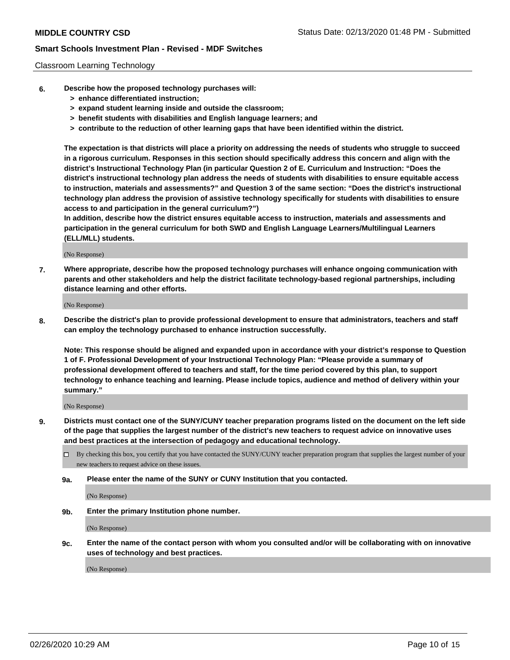#### Classroom Learning Technology

- **6. Describe how the proposed technology purchases will:**
	- **> enhance differentiated instruction;**
	- **> expand student learning inside and outside the classroom;**
	- **> benefit students with disabilities and English language learners; and**
	- **> contribute to the reduction of other learning gaps that have been identified within the district.**

**The expectation is that districts will place a priority on addressing the needs of students who struggle to succeed in a rigorous curriculum. Responses in this section should specifically address this concern and align with the district's Instructional Technology Plan (in particular Question 2 of E. Curriculum and Instruction: "Does the district's instructional technology plan address the needs of students with disabilities to ensure equitable access to instruction, materials and assessments?" and Question 3 of the same section: "Does the district's instructional technology plan address the provision of assistive technology specifically for students with disabilities to ensure access to and participation in the general curriculum?")**

**In addition, describe how the district ensures equitable access to instruction, materials and assessments and participation in the general curriculum for both SWD and English Language Learners/Multilingual Learners (ELL/MLL) students.**

(No Response)

**7. Where appropriate, describe how the proposed technology purchases will enhance ongoing communication with parents and other stakeholders and help the district facilitate technology-based regional partnerships, including distance learning and other efforts.**

(No Response)

**8. Describe the district's plan to provide professional development to ensure that administrators, teachers and staff can employ the technology purchased to enhance instruction successfully.**

**Note: This response should be aligned and expanded upon in accordance with your district's response to Question 1 of F. Professional Development of your Instructional Technology Plan: "Please provide a summary of professional development offered to teachers and staff, for the time period covered by this plan, to support technology to enhance teaching and learning. Please include topics, audience and method of delivery within your summary."**

(No Response)

- **9. Districts must contact one of the SUNY/CUNY teacher preparation programs listed on the document on the left side of the page that supplies the largest number of the district's new teachers to request advice on innovative uses and best practices at the intersection of pedagogy and educational technology.**
	- By checking this box, you certify that you have contacted the SUNY/CUNY teacher preparation program that supplies the largest number of your new teachers to request advice on these issues.
	- **9a. Please enter the name of the SUNY or CUNY Institution that you contacted.**

(No Response)

**9b. Enter the primary Institution phone number.**

(No Response)

**9c. Enter the name of the contact person with whom you consulted and/or will be collaborating with on innovative uses of technology and best practices.**

(No Response)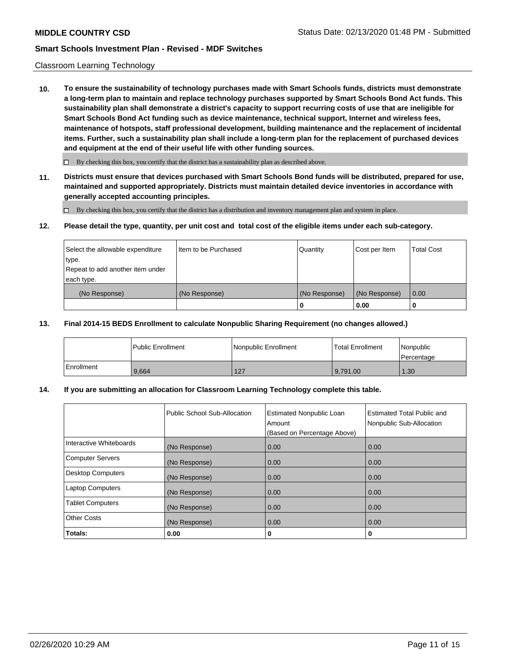#### Classroom Learning Technology

**10. To ensure the sustainability of technology purchases made with Smart Schools funds, districts must demonstrate a long-term plan to maintain and replace technology purchases supported by Smart Schools Bond Act funds. This sustainability plan shall demonstrate a district's capacity to support recurring costs of use that are ineligible for Smart Schools Bond Act funding such as device maintenance, technical support, Internet and wireless fees, maintenance of hotspots, staff professional development, building maintenance and the replacement of incidental items. Further, such a sustainability plan shall include a long-term plan for the replacement of purchased devices and equipment at the end of their useful life with other funding sources.**

 $\Box$  By checking this box, you certify that the district has a sustainability plan as described above.

**11. Districts must ensure that devices purchased with Smart Schools Bond funds will be distributed, prepared for use, maintained and supported appropriately. Districts must maintain detailed device inventories in accordance with generally accepted accounting principles.**

By checking this box, you certify that the district has a distribution and inventory management plan and system in place.

#### **12. Please detail the type, quantity, per unit cost and total cost of the eligible items under each sub-category.**

| Select the allowable expenditure | Item to be Purchased | Quantity      | Cost per Item | <b>Total Cost</b> |
|----------------------------------|----------------------|---------------|---------------|-------------------|
| ∣type.                           |                      |               |               |                   |
| Repeat to add another item under |                      |               |               |                   |
| each type.                       |                      |               |               |                   |
| (No Response)                    | (No Response)        | (No Response) | (No Response) | $\overline{0.00}$ |
|                                  |                      | υ             | 0.00          | 0                 |

#### **13. Final 2014-15 BEDS Enrollment to calculate Nonpublic Sharing Requirement (no changes allowed.)**

|              | l Public Enrollment | Nonpublic Enrollment | <b>Total Enrollment</b> | Nonpublic<br>l Percentage |
|--------------|---------------------|----------------------|-------------------------|---------------------------|
| l Enrollment | 9.664               | 127                  | 9.791.00                | 1.30                      |

### **14. If you are submitting an allocation for Classroom Learning Technology complete this table.**

|                         | Public School Sub-Allocation | <b>Estimated Nonpublic Loan</b><br>Amount<br>(Based on Percentage Above) | Estimated Total Public and<br>Nonpublic Sub-Allocation |
|-------------------------|------------------------------|--------------------------------------------------------------------------|--------------------------------------------------------|
| Interactive Whiteboards | (No Response)                | 0.00                                                                     | 0.00                                                   |
| Computer Servers        | (No Response)                | 0.00                                                                     | 0.00                                                   |
| Desktop Computers       | (No Response)                | 0.00                                                                     | 0.00                                                   |
| <b>Laptop Computers</b> | (No Response)                | 0.00                                                                     | 0.00                                                   |
| <b>Tablet Computers</b> | (No Response)                | 0.00                                                                     | 0.00                                                   |
| Other Costs             | (No Response)                | 0.00                                                                     | 0.00                                                   |
| Totals:                 | 0.00                         | 0                                                                        | 0                                                      |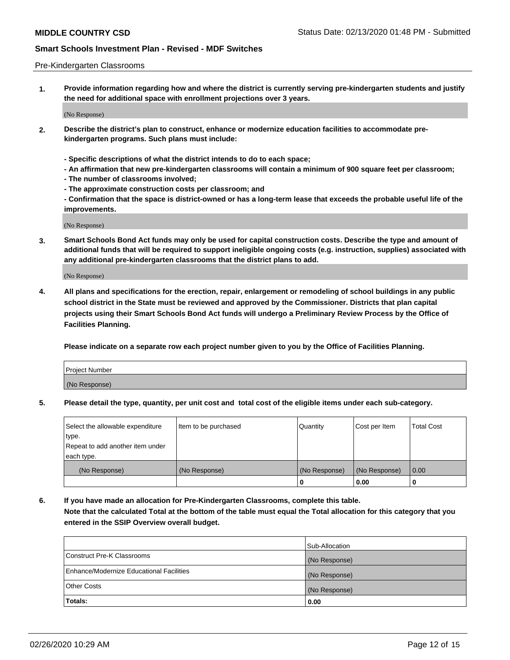#### Pre-Kindergarten Classrooms

**1. Provide information regarding how and where the district is currently serving pre-kindergarten students and justify the need for additional space with enrollment projections over 3 years.**

(No Response)

- **2. Describe the district's plan to construct, enhance or modernize education facilities to accommodate prekindergarten programs. Such plans must include:**
	- **Specific descriptions of what the district intends to do to each space;**
	- **An affirmation that new pre-kindergarten classrooms will contain a minimum of 900 square feet per classroom;**
	- **The number of classrooms involved;**
	- **The approximate construction costs per classroom; and**
	- **Confirmation that the space is district-owned or has a long-term lease that exceeds the probable useful life of the improvements.**

(No Response)

**3. Smart Schools Bond Act funds may only be used for capital construction costs. Describe the type and amount of additional funds that will be required to support ineligible ongoing costs (e.g. instruction, supplies) associated with any additional pre-kindergarten classrooms that the district plans to add.**

(No Response)

**4. All plans and specifications for the erection, repair, enlargement or remodeling of school buildings in any public school district in the State must be reviewed and approved by the Commissioner. Districts that plan capital projects using their Smart Schools Bond Act funds will undergo a Preliminary Review Process by the Office of Facilities Planning.**

**Please indicate on a separate row each project number given to you by the Office of Facilities Planning.**

| Project Number |  |
|----------------|--|
| (No Response)  |  |
|                |  |

**5. Please detail the type, quantity, per unit cost and total cost of the eligible items under each sub-category.**

| Select the allowable expenditure | Item to be purchased | Quantity      | Cost per Item | <b>Total Cost</b> |
|----------------------------------|----------------------|---------------|---------------|-------------------|
| type.                            |                      |               |               |                   |
| Repeat to add another item under |                      |               |               |                   |
| each type.                       |                      |               |               |                   |
| (No Response)                    | (No Response)        | (No Response) | (No Response) | 0.00              |
|                                  |                      | U             | 0.00          |                   |

**6. If you have made an allocation for Pre-Kindergarten Classrooms, complete this table. Note that the calculated Total at the bottom of the table must equal the Total allocation for this category that you entered in the SSIP Overview overall budget.**

|                                          | Sub-Allocation |
|------------------------------------------|----------------|
| Construct Pre-K Classrooms               | (No Response)  |
| Enhance/Modernize Educational Facilities | (No Response)  |
| <b>Other Costs</b>                       | (No Response)  |
| Totals:                                  | 0.00           |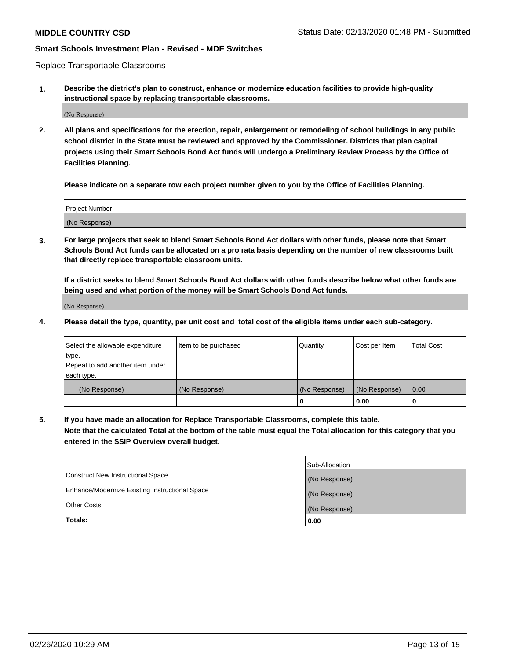Replace Transportable Classrooms

**1. Describe the district's plan to construct, enhance or modernize education facilities to provide high-quality instructional space by replacing transportable classrooms.**

(No Response)

**2. All plans and specifications for the erection, repair, enlargement or remodeling of school buildings in any public school district in the State must be reviewed and approved by the Commissioner. Districts that plan capital projects using their Smart Schools Bond Act funds will undergo a Preliminary Review Process by the Office of Facilities Planning.**

**Please indicate on a separate row each project number given to you by the Office of Facilities Planning.**

| Project Number |  |
|----------------|--|
|                |  |
|                |  |
|                |  |
|                |  |
| (No Response)  |  |
|                |  |
|                |  |
|                |  |

**3. For large projects that seek to blend Smart Schools Bond Act dollars with other funds, please note that Smart Schools Bond Act funds can be allocated on a pro rata basis depending on the number of new classrooms built that directly replace transportable classroom units.**

**If a district seeks to blend Smart Schools Bond Act dollars with other funds describe below what other funds are being used and what portion of the money will be Smart Schools Bond Act funds.**

(No Response)

**4. Please detail the type, quantity, per unit cost and total cost of the eligible items under each sub-category.**

| Select the allowable expenditure | Item to be purchased | Quantity      | Cost per Item | Total Cost |
|----------------------------------|----------------------|---------------|---------------|------------|
| ∣type.                           |                      |               |               |            |
| Repeat to add another item under |                      |               |               |            |
| each type.                       |                      |               |               |            |
| (No Response)                    | (No Response)        | (No Response) | (No Response) | 0.00       |
|                                  |                      | u             | 0.00          |            |

**5. If you have made an allocation for Replace Transportable Classrooms, complete this table. Note that the calculated Total at the bottom of the table must equal the Total allocation for this category that you entered in the SSIP Overview overall budget.**

|                                                | Sub-Allocation |
|------------------------------------------------|----------------|
| Construct New Instructional Space              | (No Response)  |
| Enhance/Modernize Existing Instructional Space | (No Response)  |
| Other Costs                                    | (No Response)  |
| Totals:                                        | 0.00           |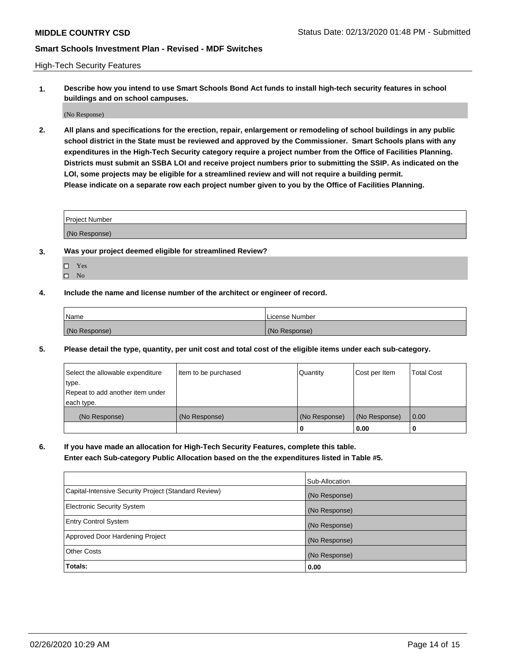High-Tech Security Features

**1. Describe how you intend to use Smart Schools Bond Act funds to install high-tech security features in school buildings and on school campuses.**

(No Response)

**2. All plans and specifications for the erection, repair, enlargement or remodeling of school buildings in any public school district in the State must be reviewed and approved by the Commissioner. Smart Schools plans with any expenditures in the High-Tech Security category require a project number from the Office of Facilities Planning. Districts must submit an SSBA LOI and receive project numbers prior to submitting the SSIP. As indicated on the LOI, some projects may be eligible for a streamlined review and will not require a building permit. Please indicate on a separate row each project number given to you by the Office of Facilities Planning.**

| <b>Project Number</b> |  |
|-----------------------|--|
|                       |  |
| (No Response)         |  |

- **3. Was your project deemed eligible for streamlined Review?**
	- Yes
	- $\hfill \square$  No
- **4. Include the name and license number of the architect or engineer of record.**

| Name          | License Number |
|---------------|----------------|
| (No Response) | (No Response)  |

**5. Please detail the type, quantity, per unit cost and total cost of the eligible items under each sub-category.**

| Select the allowable expenditure | Item to be purchased | Quantity      | Cost per Item | <b>Total Cost</b> |
|----------------------------------|----------------------|---------------|---------------|-------------------|
| type.                            |                      |               |               |                   |
| Repeat to add another item under |                      |               |               |                   |
| each type.                       |                      |               |               |                   |
| (No Response)                    | (No Response)        | (No Response) | (No Response) | 0.00              |
|                                  |                      | 0             | 0.00          |                   |

**6. If you have made an allocation for High-Tech Security Features, complete this table.**

**Enter each Sub-category Public Allocation based on the the expenditures listed in Table #5.**

|                                                      | Sub-Allocation |
|------------------------------------------------------|----------------|
| Capital-Intensive Security Project (Standard Review) | (No Response)  |
| <b>Electronic Security System</b>                    | (No Response)  |
| <b>Entry Control System</b>                          | (No Response)  |
| Approved Door Hardening Project                      | (No Response)  |
| <b>Other Costs</b>                                   | (No Response)  |
| Totals:                                              | 0.00           |